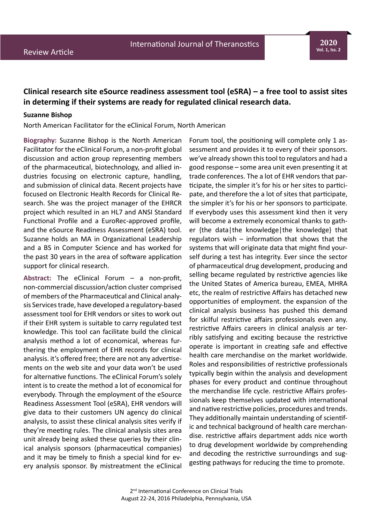## **Clinical research site eSource readiness assessment tool (eSRA) – a free tool to assist sites in determing if their systems are ready for regulated clinical research data.**

## **Suzanne Bishop**

North American Facilitator for the eClinical Forum, North American

**Biography:** Suzanne Bishop is the North American Facilitator for the eClinical Forum, a non-profit global discussion and action group representing members of the pharmaceutical, biotechnology, and allied industries focusing on electronic capture, handling, and submission of clinical data. Recent projects have focused on Electronic Health Records for Clinical Research. She was the project manager of the EHRCR project which resulted in an HL7 and ANSI Standard Functional Profile and a EuroRec-approved profile, and the eSource Readiness Assessment (eSRA) tool. Suzanne holds an MA in Organizational Leadership and a BS in Computer Science and has worked for the past 30 years in the area of software application support for clinical research.

**Abstract:** The eClinical Forum – a non-profit, non-commercial discussion/action cluster comprised of members of the Pharmaceutical and Clinical analysis Services trade, have developed a regulatory-based assessment tool for EHR vendors or sites to work out if their EHR system is suitable to carry regulated test knowledge. This tool can facilitate build the clinical analysis method a lot of economical, whereas furthering the employment of EHR records for clinical analysis. it's offered free; there are not any advertisements on the web site and your data won't be used for alternative functions. The eClinical Forum's solely intent is to create the method a lot of economical for everybody. Through the employment of the eSource Readiness Assessment Tool (eSRA), EHR vendors will give data to their customers UN agency do clinical analysis, to assist these clinical analysis sites verify if they're meeting rules. The clinical analysis sites area unit already being asked these queries by their clinical analysis sponsors (pharmaceutical companies) and it may be timely to finish a special kind for every analysis sponsor. By mistreatment the eClinical Forum tool, the positioning will complete only 1 assessment and provides it to every of their sponsors. we've already shown this tool to regulators and had a good response – some area unit even presenting it at trade conferences. The a lot of EHR vendors that participate, the simpler it's for his or her sites to participate, and therefore the a lot of sites that participate, the simpler it's for his or her sponsors to participate. If everybody uses this assessment kind then it very will become a extremely economical thanks to gather {the data|the knowledge|the knowledge} that regulators wish – information that shows that the systems that will originate data that might find yourself during a test has integrity. Ever since the sector of pharmaceutical drug development, producing and selling became regulated by restrictive agencies like the United States of America bureau, EMEA, MHRA etc, the realm of restrictive Affairs has detached new opportunities of employment. the expansion of the clinical analysis business has pushed this demand for skilful restrictive affairs professionals even any. restrictive Affairs careers in clinical analysis ar terribly satisfying and exciting because the restrictive operate is important in creating safe and effective health care merchandise on the market worldwide. Roles and responsibilities of restrictive professionals typically begin within the analysis and development phases for every product and continue throughout the merchandise life cycle. restrictive Affairs professionals keep themselves updated with international and native restrictive policies, procedures and trends. They additionally maintain understanding of scientific and technical background of health care merchandise. restrictive affairs department adds nice worth to drug development worldwide by comprehending and decoding the restrictive surroundings and suggesting pathways for reducing the time to promote.